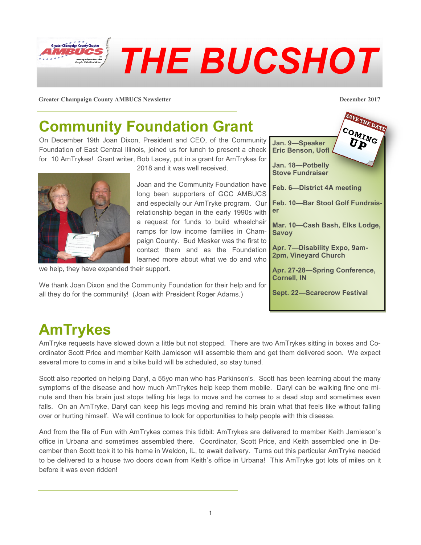

**Greater Champaign County AMBUCS Newsletter December 2017**

## **Community Foundation Grant**

On December 19th Joan Dixon, President and CEO, of the Community Foundation of East Central Illinois, joined us for lunch to present a check for 10 AmTrykes! Grant writer, Bob Lacey, put in a grant for AmTrykes for

2018 and it was well received.

Joan and the Community Foundation have long been supporters of GCC AMBUCS and especially our AmTryke program. Our relationship began in the early 1990s with a request for funds to build wheelchair ramps for low income families in Champaign County. Bud Mesker was the first to contact them and as the Foundation learned more about what we do and who

we help, they have expanded their support.

We thank Joan Dixon and the Community Foundation for their help and for all they do for the community! (Joan with President Roger Adams.)



# **AmTrykes**

AmTryke requests have slowed down a little but not stopped. There are two AmTrykes sitting in boxes and Coordinator Scott Price and member Keith Jamieson will assemble them and get them delivered soon. We expect several more to come in and a bike build will be scheduled, so stay tuned.

Scott also reported on helping Daryl, a 55yo man who has Parkinson's. Scott has been learning about the many symptoms of the disease and how much AmTrykes help keep them mobile. Daryl can be walking fine one minute and then his brain just stops telling his legs to move and he comes to a dead stop and sometimes even falls. On an AmTryke, Daryl can keep his legs moving and remind his brain what that feels like without falling over or hurting himself. We will continue to look for opportunities to help people with this disease.

And from the file of Fun with AmTrykes comes this tidbit: AmTrykes are delivered to member Keith Jamieson's office in Urbana and sometimes assembled there. Coordinator, Scott Price, and Keith assembled one in December then Scott took it to his home in Weldon, IL, to await delivery. Turns out this particular AmTryke needed to be delivered to a house two doors down from Keith's office in Urbana! This AmTryke got lots of miles on it before it was even ridden!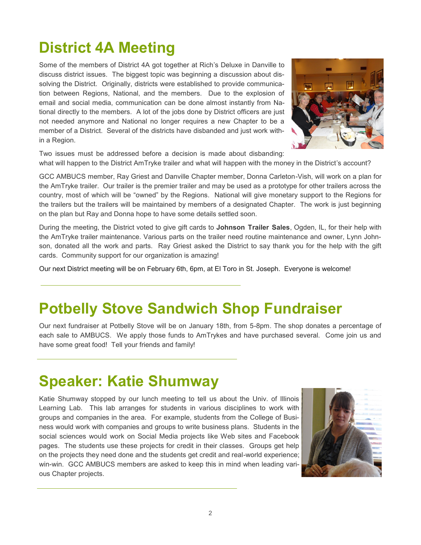# **District 4A Meeting**

Some of the members of District 4A got together at Rich's Deluxe in Danville to discuss district issues. The biggest topic was beginning a discussion about dissolving the District. Originally, districts were established to provide communication between Regions, National, and the members. Due to the explosion of email and social media, communication can be done almost instantly from National directly to the members. A lot of the jobs done by District officers are just not needed anymore and National no longer requires a new Chapter to be a member of a District. Several of the districts have disbanded and just work within a Region.



Two issues must be addressed before a decision is made about disbanding: what will happen to the District AmTryke trailer and what will happen with the money in the District's account?

GCC AMBUCS member, Ray Griest and Danville Chapter member, Donna Carleton-Vish, will work on a plan for the AmTryke trailer. Our trailer is the premier trailer and may be used as a prototype for other trailers across the country, most of which will be "owned" by the Regions. National will give monetary support to the Regions for the trailers but the trailers will be maintained by members of a designated Chapter. The work is just beginning on the plan but Ray and Donna hope to have some details settled soon.

During the meeting, the District voted to give gift cards to **Johnson Trailer Sales**, Ogden, IL, for their help with the AmTryke trailer maintenance. Various parts on the trailer need routine maintenance and owner, Lynn Johnson, donated all the work and parts. Ray Griest asked the District to say thank you for the help with the gift cards. Community support for our organization is amazing!

Our next District meeting will be on February 6th, 6pm, at El Toro in St. Joseph. Everyone is welcome!

#### **Potbelly Stove Sandwich Shop Fundraiser**

Our next fundraiser at Potbelly Stove will be on January 18th, from 5-8pm. The shop donates a percentage of each sale to AMBUCS. We apply those funds to AmTrykes and have purchased several. Come join us and have some great food! Tell your friends and family!

### **Speaker: Katie Shumway**

Katie Shumway stopped by our lunch meeting to tell us about the Univ. of Illinois Learning Lab. This lab arranges for students in various disciplines to work with groups and companies in the area. For example, students from the College of Business would work with companies and groups to write business plans. Students in the social sciences would work on Social Media projects like Web sites and Facebook pages. The students use these projects for credit in their classes. Groups get help on the projects they need done and the students get credit and real-world experience; win-win. GCC AMBUCS members are asked to keep this in mind when leading various Chapter projects.